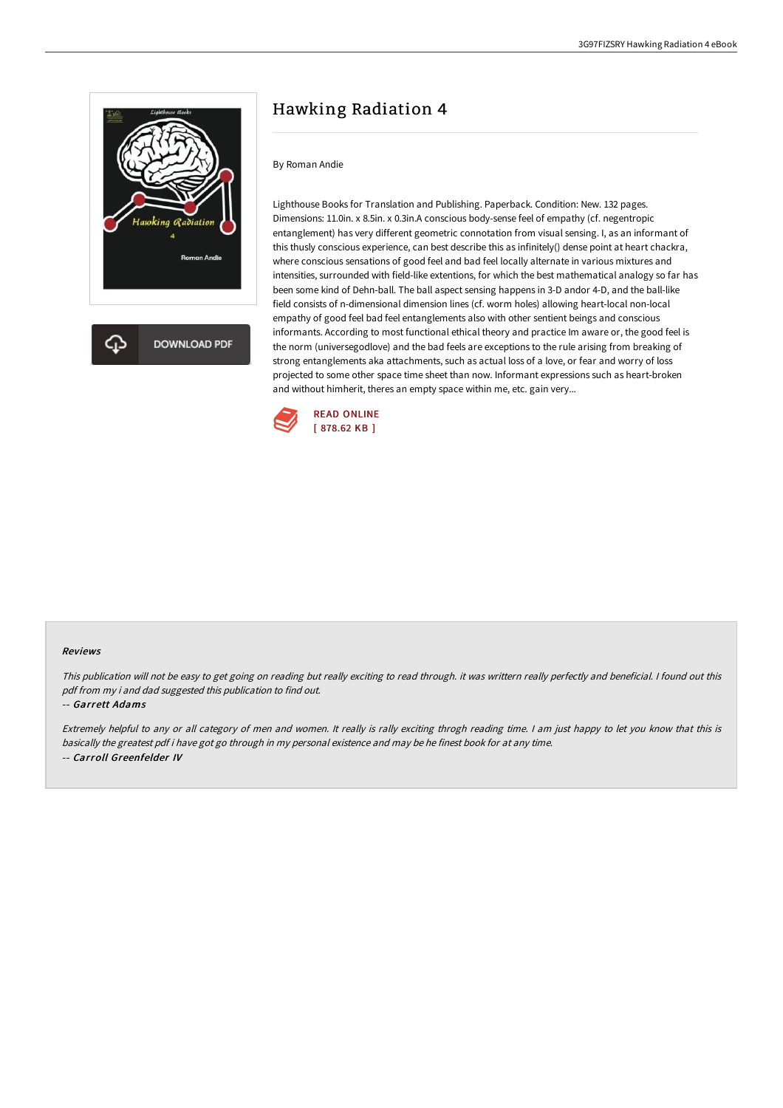

**DOWNLOAD PDF** 

# Hawking Radiation 4

### By Roman Andie

Lighthouse Books for Translation and Publishing. Paperback. Condition: New. 132 pages. Dimensions: 11.0in. x 8.5in. x 0.3in.A conscious body-sense feel of empathy (cf. negentropic entanglement) has very different geometric connotation from visual sensing. I, as an informant of this thusly conscious experience, can best describe this as infinitely() dense point at heart chackra, where conscious sensations of good feel and bad feel locally alternate in various mixtures and intensities, surrounded with field-like extentions, for which the best mathematical analogy so far has been some kind of Dehn-ball. The ball aspect sensing happens in 3-D andor 4-D, and the ball-like field consists of n-dimensional dimension lines (cf. worm holes) allowing heart-local non-local empathy of good feel bad feel entanglements also with other sentient beings and conscious informants. According to most functional ethical theory and practice Im aware or, the good feel is the norm (universegodlove) and the bad feels are exceptions to the rule arising from breaking of strong entanglements aka attachments, such as actual loss of a love, or fear and worry of loss projected to some other space time sheet than now. Informant expressions such as heart-broken and without himherit, theres an empty space within me, etc. gain very...



#### Reviews

This publication will not be easy to get going on reading but really exciting to read through. it was writtern really perfectly and beneficial. <sup>I</sup> found out this pdf from my i and dad suggested this publication to find out.

#### -- Garrett Adams

Extremely helpful to any or all category of men and women. It really is rally exciting throgh reading time. <sup>I</sup> am just happy to let you know that this is basically the greatest pdf i have got go through in my personal existence and may be he finest book for at any time. -- Carroll Greenfelder IV